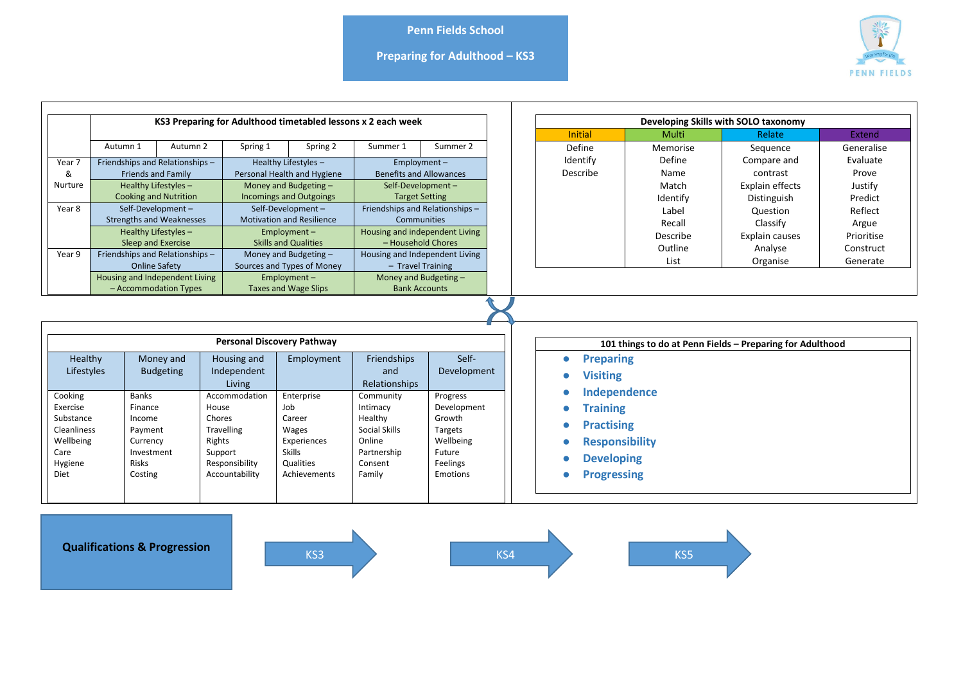**Preparing for Adulthood – KS3**



| KS3 Preparing for Adulthood timetabled lessons x 2 each week                            |                                                                |                                                                                                   |                                                                                                         |                                                                                                   |                                                                                                 |                                                                                             |  | Developing Skills with SOLO taxonomy                                                                                     |                                                           |                                |                         |  |  |
|-----------------------------------------------------------------------------------------|----------------------------------------------------------------|---------------------------------------------------------------------------------------------------|---------------------------------------------------------------------------------------------------------|---------------------------------------------------------------------------------------------------|-------------------------------------------------------------------------------------------------|---------------------------------------------------------------------------------------------|--|--------------------------------------------------------------------------------------------------------------------------|-----------------------------------------------------------|--------------------------------|-------------------------|--|--|
|                                                                                         |                                                                |                                                                                                   |                                                                                                         |                                                                                                   |                                                                                                 |                                                                                             |  | Initial                                                                                                                  | Multi                                                     | Relate                         | Extend                  |  |  |
|                                                                                         | Autumn 1                                                       | Autumn 2                                                                                          | Spring 1                                                                                                | Spring 2                                                                                          | Summer 1                                                                                        | Summer 2                                                                                    |  | Define                                                                                                                   | Memorise                                                  | Sequence                       | Generalise              |  |  |
| Year 7<br>&                                                                             |                                                                | Friendships and Relationships-<br><b>Friends and Family</b>                                       |                                                                                                         | Healthy Lifestyles-<br>Personal Health and Hygiene                                                |                                                                                                 | $Emplovement -$<br><b>Benefits and Allowances</b>                                           |  | Identify<br>Describe                                                                                                     | Define<br>Name                                            | Compare and<br>contrast        | Evaluate<br>Prove       |  |  |
| Nurture                                                                                 | Healthy Lifestyles-<br><b>Cooking and Nutrition</b>            |                                                                                                   |                                                                                                         | Money and Budgeting -<br><b>Incomings and Outgoings</b>                                           |                                                                                                 | Self-Development-<br><b>Target Setting</b>                                                  |  |                                                                                                                          | Match<br>Identify                                         | Explain effects<br>Distinguish | Justify<br>Predict      |  |  |
| Year 8                                                                                  |                                                                | Self-Development-<br><b>Strengths and Weaknesses</b>                                              |                                                                                                         | Self-Development-<br><b>Motivation and Resilience</b>                                             |                                                                                                 | Friendships and Relationships-<br><b>Communities</b>                                        |  |                                                                                                                          | Label<br>Recall                                           | Question<br>Classify           | Reflect<br>Argue        |  |  |
|                                                                                         |                                                                | Healthy Lifestyles-<br>Sleep and Exercise                                                         |                                                                                                         | $Employment -$<br><b>Skills and Qualities</b>                                                     |                                                                                                 | Housing and independent Living<br>- Household Chores                                        |  |                                                                                                                          | Describe<br>Outline                                       | Explain causes<br>Analyse      | Prioritise<br>Construct |  |  |
| Year 9                                                                                  | Friendships and Relationships-<br><b>Online Safety</b>         |                                                                                                   |                                                                                                         | Money and Budgeting -<br>Sources and Types of Money                                               |                                                                                                 | Housing and Independent Living<br>- Travel Training                                         |  |                                                                                                                          | List                                                      | Organise                       | Generate                |  |  |
|                                                                                         | <b>Housing and Independent Living</b><br>- Accommodation Types |                                                                                                   |                                                                                                         | $Employment -$<br><b>Taxes and Wage Slips</b>                                                     |                                                                                                 | Money and Budgeting -<br><b>Bank Accounts</b>                                               |  |                                                                                                                          |                                                           |                                |                         |  |  |
|                                                                                         | <b>Personal Discovery Pathway</b>                              |                                                                                                   |                                                                                                         |                                                                                                   |                                                                                                 |                                                                                             |  |                                                                                                                          | 101 things to do at Penn Fields - Preparing for Adulthood |                                |                         |  |  |
| Healthy<br>Lifestyles                                                                   |                                                                | Money and<br><b>Budgeting</b>                                                                     | Housing and<br>Independent<br>Living                                                                    | Employment                                                                                        | Friendships<br>and<br>Relationships                                                             | Self-<br>Development                                                                        |  |                                                                                                                          | <b>Preparing</b><br><b>Visiting</b>                       |                                |                         |  |  |
| Cooking<br>Exercise<br>Substance<br>Cleanliness<br>Wellbeing<br>Care<br>Hygiene<br>Diet |                                                                | <b>Banks</b><br>Finance<br>Income<br>Payment<br>Currency<br>Investment<br><b>Risks</b><br>Costing | Accommodation<br>House<br>Chores<br>Travelling<br>Rights<br>Support<br>Responsibility<br>Accountability | Enterprise<br>Job<br>Career<br>Wages<br>Experiences<br><b>Skills</b><br>Qualities<br>Achievements | Community<br>Intimacy<br>Healthy<br>Social Skills<br>Online<br>Partnership<br>Consent<br>Family | Progress<br>Development<br>Growth<br>Targets<br>Wellbeing<br>Future<br>Feelings<br>Emotions |  | Independence<br><b>Training</b><br><b>Practising</b><br><b>Responsibility</b><br><b>Developing</b><br><b>Progressing</b> |                                                           |                                |                         |  |  |